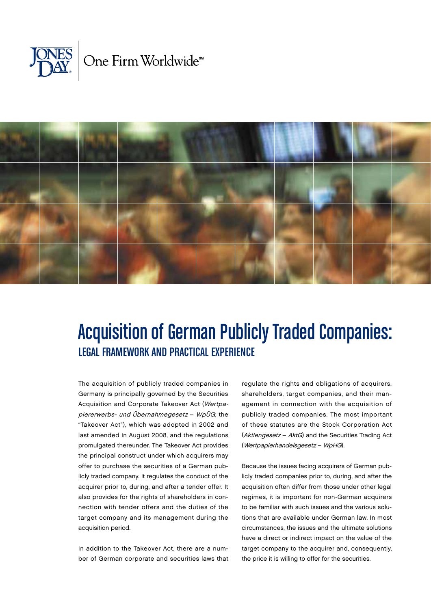



# Acquisition of German Publicly Traded Companies: Legal Framework and Practical Experience

The acquisition of publicly traded companies in Germany is principally governed by the Securities Acquisition and Corporate Takeover Act (Wertpa<sup>p</sup>iererwerbs- und Übernahmegesetz – WpÜG; the "Takeover Act"), which was adopted in 2002 and last amended in August 2008, and the regulations promulgated thereunder. The Takeover Act provides the principal construct under which acquirers may offer to purchase the securities of a German publicly traded company. It regulates the conduct of the acquirer prior to, during, and after a tender offer. It also provides for the rights of shareholders in connection with tender offers and the duties of the target company and its management during the acquisition period.

In addition to the Takeover Act, there are a number of German corporate and securities laws that regulate the rights and obligations of acquirers, shareholders, target companies, and their management in connection with the acquisition of publicly traded companies. The most important of these statutes are the Stock Corporation Act (Aktiengesetz – AktG) and the Securities Trading Act (Wertpapierhandelsgesetz – WpHG).

Because the issues facing acquirers of German publicly traded companies prior to, during, and after the acquisition often differ from those under other legal regimes, it is important for non-German acquirers to be familiar with such issues and the various solutions that are available under German law. In most circumstances, the issues and the ultimate solutions have a direct or indirect impact on the value of the target company to the acquirer and, consequently, the price it is willing to offer for the securities.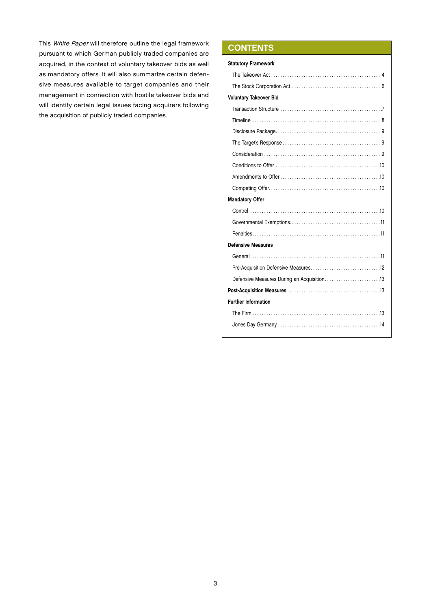This White Paper will therefore outline the legal framework pursuant to which German publicly traded companies are acquired, in the context of voluntary takeover bids as well as mandatory offers. It will also summarize certain defensive measures available to target companies and their management in connection with hostile takeover bids and will identify certain legal issues facing acquirers following the acquisition of publicly traded companies.

# **CONTENTS**

| <b>Statutory Framework</b>                 |  |  |  |
|--------------------------------------------|--|--|--|
|                                            |  |  |  |
|                                            |  |  |  |
| Voluntary Takeover Bid                     |  |  |  |
|                                            |  |  |  |
|                                            |  |  |  |
|                                            |  |  |  |
|                                            |  |  |  |
|                                            |  |  |  |
|                                            |  |  |  |
|                                            |  |  |  |
|                                            |  |  |  |
| <b>Mandatory Offer</b>                     |  |  |  |
|                                            |  |  |  |
|                                            |  |  |  |
|                                            |  |  |  |
| <b>Defensive Measures</b>                  |  |  |  |
|                                            |  |  |  |
|                                            |  |  |  |
| Defensive Measures During an Acquisition13 |  |  |  |
|                                            |  |  |  |
| <b>Further Information</b>                 |  |  |  |
|                                            |  |  |  |
|                                            |  |  |  |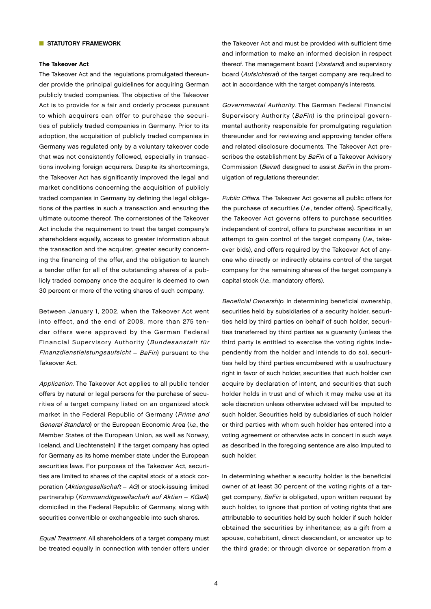# **NO STATUTORY FRAMEWORK**

#### The Takeover Act

The Takeover Act and the regulations promulgated thereunder provide the principal guidelines for acquiring German publicly traded companies. The objective of the Takeover Act is to provide for a fair and orderly process pursuant to which acquirers can offer to purchase the securities of publicly traded companies in Germany. Prior to its adoption, the acquisition of publicly traded companies in Germany was regulated only by a voluntary takeover code that was not consistently followed, especially in transactions involving foreign acquirers. Despite its shortcomings, the Takeover Act has significantly improved the legal and market conditions concerning the acquisition of publicly traded companies in Germany by defining the legal obligations of the parties in such a transaction and ensuring the ultimate outcome thereof. The cornerstones of the Takeover Act include the requirement to treat the target company's shareholders equally, access to greater information about the transaction and the acquirer, greater security concerning the financing of the offer, and the obligation to launch a tender offer for all of the outstanding shares of a publicly traded company once the acquirer is deemed to own 30 percent or more of the voting shares of such company.

Between January 1, 2002, when the Takeover Act went into effect, and the end of 2008, more than 275 tender offers were approved by the German Federal Financial Supervisory Authority (Bundesanstalt für Finanzdienstleistungsaufsicht – BaFin) pursuant to the Takeover Act.

Application. The Takeover Act applies to all public tender offers by natural or legal persons for the purchase of securities of a target company listed on an organized stock market in the Federal Republic of Germany (Prime and General Standard) or the European Economic Area (i.e., the Member States of the European Union, as well as Norway, Iceland, and Liechtenstein) if the target company has opted for Germany as its home member state under the European securities laws. For purposes of the Takeover Act, securities are limited to shares of the capital stock of a stock corporation (Aktiengesellschaft – AG) or stock-issuing limited partnership (Kommanditgesellschaft auf Aktien – KGaA) domiciled in the Federal Republic of Germany, along with securities convertible or exchangeable into such shares.

Equal Treatment. All shareholders of a target company must be treated equally in connection with tender offers under the Takeover Act and must be provided with sufficient time and information to make an informed decision in respect thereof. The management board (Vorstand) and supervisory board (Aufsichtsrat) of the target company are required to act in accordance with the target company's interests.

Governmental Authority. The German Federal Financial Supervisory Authority (BaFin) is the principal governmental authority responsible for promulgating regulation thereunder and for reviewing and approving tender offers and related disclosure documents. The Takeover Act prescribes the establishment by BaFin of a Takeover Advisory Commission (Beirat) designed to assist BaFin in the promulgation of regulations thereunder.

Public Offers. The Takeover Act governs all public offers for the purchase of securities (i.e., tender offers). Specifically, the Takeover Act governs offers to purchase securities independent of control, offers to purchase securities in an attempt to gain control of the target company (i.e., takeover bids), and offers required by the Takeover Act of anyone who directly or indirectly obtains control of the target company for the remaining shares of the target company's capital stock (i.e., mandatory offers).

Beneficial Ownership. In determining beneficial ownership, securities held by subsidiaries of a security holder, securities held by third parties on behalf of such holder, securities transferred by third parties as a guaranty (unless the third party is entitled to exercise the voting rights independently from the holder and intends to do so), securities held by third parties encumbered with a usufructuary right in favor of such holder, securities that such holder can acquire by declaration of intent, and securities that such holder holds in trust and of which it may make use at its sole discretion unless otherwise advised will be imputed to such holder. Securities held by subsidiaries of such holder or third parties with whom such holder has entered into a voting agreement or otherwise acts in concert in such ways as described in the foregoing sentence are also imputed to such holder.

In determining whether a security holder is the beneficial owner of at least 30 percent of the voting rights of a target company, BaFin is obligated, upon written request by such holder, to ignore that portion of voting rights that are attributable to securities held by such holder if such holder obtained the securities by inheritance; as a gift from a spouse, cohabitant, direct descendant, or ancestor up to the third grade; or through divorce or separation from a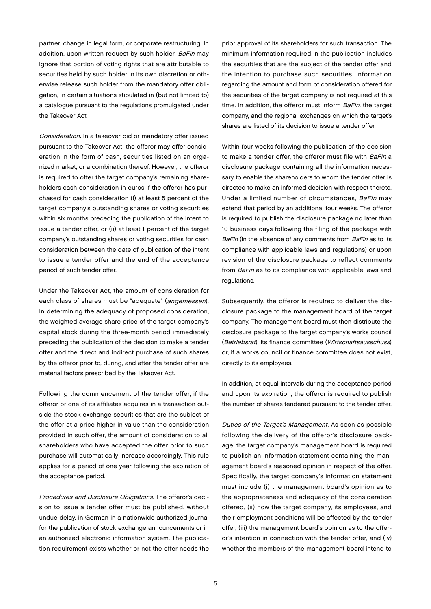partner, change in legal form, or corporate restructuring. In addition, upon written request by such holder, BaFin may ignore that portion of voting rights that are attributable to securities held by such holder in its own discretion or otherwise release such holder from the mandatory offer obligation, in certain situations stipulated in (but not limited to) a catalogue pursuant to the regulations promulgated under the Takeover Act.

Consideration. In a takeover bid or mandatory offer issued pursuant to the Takeover Act, the offeror may offer consideration in the form of cash, securities listed on an organized market, or a combination thereof. However, the offeror is required to offer the target company's remaining shareholders cash consideration in euros if the offeror has purchased for cash consideration (i) at least 5 percent of the target company's outstanding shares or voting securities within six months preceding the publication of the intent to issue a tender offer, or (ii) at least 1 percent of the target company's outstanding shares or voting securities for cash consideration between the date of publication of the intent to issue a tender offer and the end of the acceptance period of such tender offer.

Under the Takeover Act, the amount of consideration for each class of shares must be "adequate" (angemessen). In determining the adequacy of proposed consideration, the weighted average share price of the target company's capital stock during the three-month period immediately preceding the publication of the decision to make a tender offer and the direct and indirect purchase of such shares by the offeror prior to, during, and after the tender offer are material factors prescribed by the Takeover Act.

Following the commencement of the tender offer, if the offeror or one of its affiliates acquires in a transaction outside the stock exchange securities that are the subject of the offer at a price higher in value than the consideration provided in such offer, the amount of consideration to all shareholders who have accepted the offer prior to such purchase will automatically increase accordingly. This rule applies for a period of one year following the expiration of the acceptance period.

Procedures and Disclosure Obligations. The offeror's decision to issue a tender offer must be published, without undue delay, in German in a nationwide authorized journal for the publication of stock exchange announcements or in an authorized electronic information system. The publication requirement exists whether or not the offer needs the

prior approval of its shareholders for such transaction. The minimum information required in the publication includes the securities that are the subject of the tender offer and the intention to purchase such securities. Information regarding the amount and form of consideration offered for the securities of the target company is not required at this time. In addition, the offeror must inform BaFin, the target company, and the regional exchanges on which the target's shares are listed of its decision to issue a tender offer.

Within four weeks following the publication of the decision to make a tender offer, the offeror must file with BaFin a disclosure package containing all the information necessary to enable the shareholders to whom the tender offer is directed to make an informed decision with respect thereto. Under a limited number of circumstances, BaFin may extend that period by an additional four weeks. The offeror is required to publish the disclosure package no later than 10 business days following the filing of the package with BaFin (in the absence of any comments from BaFin as to its compliance with applicable laws and regulations) or upon revision of the disclosure package to reflect comments from BaFin as to its compliance with applicable laws and regulations.

Subsequently, the offeror is required to deliver the disclosure package to the management board of the target company. The management board must then distribute the disclosure package to the target company's works council (Betriebsrat), its finance committee (Wirtschaftsausschuss) or, if a works council or finance committee does not exist, directly to its employees.

In addition, at equal intervals during the acceptance period and upon its expiration, the offeror is required to publish the number of shares tendered pursuant to the tender offer.

Duties of the Target's Management. As soon as possible following the delivery of the offeror's disclosure package, the target company's management board is required to publish an information statement containing the management board's reasoned opinion in respect of the offer. Specifically, the target company's information statement must include (i) the management board's opinion as to the appropriateness and adequacy of the consideration offered, (ii) how the target company, its employees, and their employment conditions will be affected by the tender offer, (iii) the management board's opinion as to the offeror's intention in connection with the tender offer, and (iv) whether the members of the management board intend to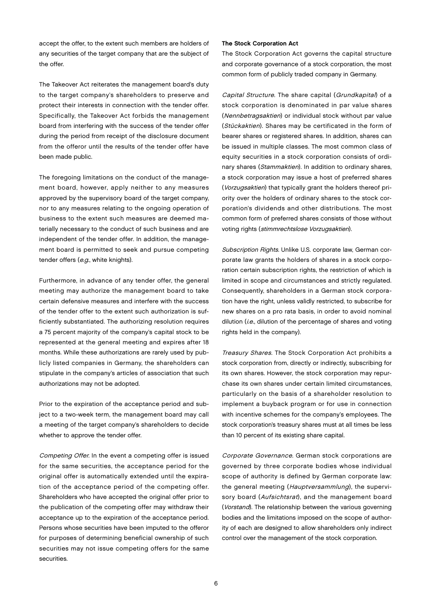accept the offer, to the extent such members are holders of any securities of the target company that are the subject of the offer.

The Takeover Act reiterates the management board's duty to the target company's shareholders to preserve and protect their interests in connection with the tender offer. Specifically, the Takeover Act forbids the management board from interfering with the success of the tender offer during the period from receipt of the disclosure document from the offeror until the results of the tender offer have been made public.

The foregoing limitations on the conduct of the management board, however, apply neither to any measures approved by the supervisory board of the target company, nor to any measures relating to the ongoing operation of business to the extent such measures are deemed materially necessary to the conduct of such business and are independent of the tender offer. In addition, the management board is permitted to seek and pursue competing tender offers (e.g., white knights).

Furthermore, in advance of any tender offer, the general meeting may authorize the management board to take certain defensive measures and interfere with the success of the tender offer to the extent such authorization is sufficiently substantiated. The authorizing resolution requires a 75 percent majority of the company's capital stock to be represented at the general meeting and expires after 18 months. While these authorizations are rarely used by publicly listed companies in Germany, the shareholders can stipulate in the company's articles of association that such authorizations may not be adopted.

Prior to the expiration of the acceptance period and subject to a two-week term, the management board may call a meeting of the target company's shareholders to decide whether to approve the tender offer.

Competing Offer. In the event a competing offer is issued for the same securities, the acceptance period for the original offer is automatically extended until the expiration of the acceptance period of the competing offer. Shareholders who have accepted the original offer prior to the publication of the competing offer may withdraw their acceptance up to the expiration of the acceptance period. Persons whose securities have been imputed to the offeror for purposes of determining beneficial ownership of such securities may not issue competing offers for the same securities.

# The Stock Corporation Act

The Stock Corporation Act governs the capital structure and corporate governance of a stock corporation, the most common form of publicly traded company in Germany.

Capital Structure. The share capital (Grundkapital) of a stock corporation is denominated in par value shares (Nennbetragsaktien) or individual stock without par value (Stückaktien). Shares may be certificated in the form of bearer shares or registered shares. In addition, shares can be issued in multiple classes. The most common class of equity securities in a stock corporation consists of ordinary shares (Stammaktien). In addition to ordinary shares, a stock corporation may issue a host of preferred shares (Vorzugsaktien) that typically grant the holders thereof priority over the holders of ordinary shares to the stock corporation's dividends and other distributions. The most common form of preferred shares consists of those without voting rights (stimmrechtslose Vorzugsaktien).

Subscription Rights. Unlike U.S. corporate law, German corporate law grants the holders of shares in a stock corporation certain subscription rights, the restriction of which is limited in scope and circumstances and strictly regulated. Consequently, shareholders in a German stock corporation have the right, unless validly restricted, to subscribe for new shares on a pro rata basis, in order to avoid nominal dilution (*i.e.*, dilution of the percentage of shares and voting rights held in the company).

Treasury Shares. The Stock Corporation Act prohibits a stock corporation from, directly or indirectly, subscribing for its own shares. However, the stock corporation may repurchase its own shares under certain limited circumstances, particularly on the basis of a shareholder resolution to implement a buyback program or for use in connection with incentive schemes for the company's employees. The stock corporation's treasury shares must at all times be less than 10 percent of its existing share capital.

Corporate Governance. German stock corporations are governed by three corporate bodies whose individual scope of authority is defined by German corporate law: the general meeting (Hauptversammlung), the supervisory board (Aufsichtsrat), and the management board (Vorstand). The relationship between the various governing bodies and the limitations imposed on the scope of authority of each are designed to allow shareholders only indirect control over the management of the stock corporation.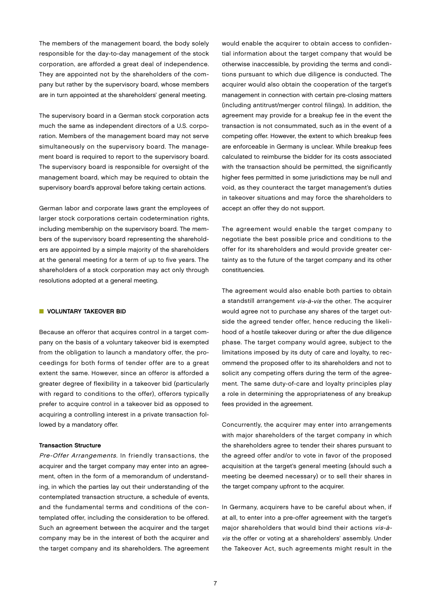The members of the management board, the body solely responsible for the day-to-day management of the stock corporation, are afforded a great deal of independence. They are appointed not by the shareholders of the company but rather by the supervisory board, whose members are in turn appointed at the shareholders' general meeting.

The supervisory board in a German stock corporation acts much the same as independent directors of a U.S. corporation. Members of the management board may not serve simultaneously on the supervisory board. The management board is required to report to the supervisory board. The supervisory board is responsible for oversight of the management board, which may be required to obtain the supervisory board's approval before taking certain actions.

German labor and corporate laws grant the employees of larger stock corporations certain codetermination rights, including membership on the supervisory board. The members of the supervisory board representing the shareholders are appointed by a simple majority of the shareholders at the general meeting for a term of up to five years. The shareholders of a stock corporation may act only through resolutions adopted at a general meeting.

# **N** VOLUNTARY TAKEOVER BID

Because an offeror that acquires control in a target company on the basis of a voluntary takeover bid is exempted from the obligation to launch a mandatory offer, the proceedings for both forms of tender offer are to a great extent the same. However, since an offeror is afforded a greater degree of flexibility in a takeover bid (particularly with regard to conditions to the offer), offerors typically prefer to acquire control in a takeover bid as opposed to acquiring a controlling interest in a private transaction followed by a mandatory offer.

### Transaction Structure

Pre-Offer Arrangements. In friendly transactions, the acquirer and the target company may enter into an agreement, often in the form of a memorandum of understanding, in which the parties lay out their understanding of the contemplated transaction structure, a schedule of events, and the fundamental terms and conditions of the contemplated offer, including the consideration to be offered. Such an agreement between the acquirer and the target company may be in the interest of both the acquirer and the target company and its shareholders. The agreement

would enable the acquirer to obtain access to confidential information about the target company that would be otherwise inaccessible, by providing the terms and conditions pursuant to which due diligence is conducted. The acquirer would also obtain the cooperation of the target's management in connection with certain pre-closing matters (including antitrust/merger control filings). In addition, the agreement may provide for a breakup fee in the event the transaction is not consummated, such as in the event of a competing offer. However, the extent to which breakup fees are enforceable in Germany is unclear. While breakup fees calculated to reimburse the bidder for its costs associated with the transaction should be permitted, the significantly higher fees permitted in some jurisdictions may be null and void, as they counteract the target management's duties in takeover situations and may force the shareholders to accept an offer they do not support.

The agreement would enable the target company to negotiate the best possible price and conditions to the offer for its shareholders and would provide greater certainty as to the future of the target company and its other constituencies.

The agreement would also enable both parties to obtain a standstill arrangement vis-à-vis the other. The acquirer would agree not to purchase any shares of the target outside the agreed tender offer, hence reducing the likelihood of a hostile takeover during or after the due diligence phase. The target company would agree, subject to the limitations imposed by its duty of care and loyalty, to recommend the proposed offer to its shareholders and not to solicit any competing offers during the term of the agreement. The same duty-of-care and loyalty principles play a role in determining the appropriateness of any breakup fees provided in the agreement.

Concurrently, the acquirer may enter into arrangements with major shareholders of the target company in which the shareholders agree to tender their shares pursuant to the agreed offer and/or to vote in favor of the proposed acquisition at the target's general meeting (should such a meeting be deemed necessary) or to sell their shares in the target company upfront to the acquirer.

In Germany, acquirers have to be careful about when, if at all, to enter into a pre-offer agreement with the target's major shareholders that would bind their actions vis-àvis the offer or voting at a shareholders' assembly. Under the Takeover Act, such agreements might result in the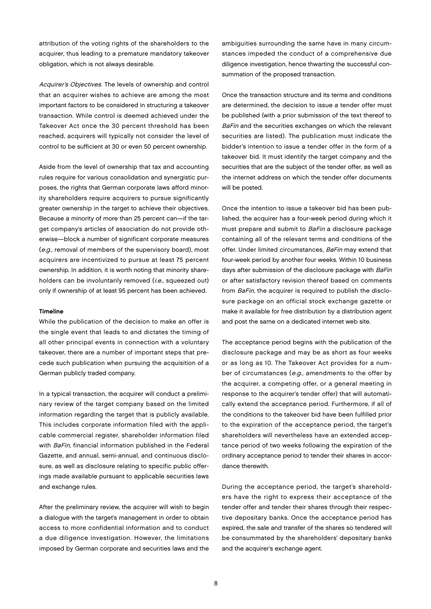attribution of the voting rights of the shareholders to the acquirer, thus leading to a premature mandatory takeover obligation, which is not always desirable.

Acquirer's Objectives. The levels of ownership and control that an acquirer wishes to achieve are among the most important factors to be considered in structuring a takeover transaction. While control is deemed achieved under the Takeover Act once the 30 percent threshold has been reached, acquirers will typically not consider the level of control to be sufficient at 30 or even 50 percent ownership.

Aside from the level of ownership that tax and accounting rules require for various consolidation and synergistic purposes, the rights that German corporate laws afford minority shareholders require acquirers to pursue significantly greater ownership in the target to achieve their objectives. Because a minority of more than 25 percent can—if the target company's articles of association do not provide otherwise—block a number of significant corporate measures (e.g., removal of members of the supervisory board), most acquirers are incentivized to pursue at least 75 percent ownership. In addition, it is worth noting that minority shareholders can be involuntarily removed (*i.e.*, squeezed out) only if ownership of at least 95 percent has been achieved.

#### Timeline

While the publication of the decision to make an offer is the single event that leads to and dictates the timing of all other principal events in connection with a voluntary takeover, there are a number of important steps that precede such publication when pursuing the acquisition of a German publicly traded company.

In a typical transaction, the acquirer will conduct a preliminary review of the target company based on the limited information regarding the target that is publicly available. This includes corporate information filed with the applicable commercial register, shareholder information filed with BaFin, financial information published in the Federal Gazette, and annual, semi-annual, and continuous disclosure, as well as disclosure relating to specific public offerings made available pursuant to applicable securities laws and exchange rules.

After the preliminary review, the acquirer will wish to begin a dialogue with the target's management in order to obtain access to more confidential information and to conduct a due diligence investigation. However, the limitations imposed by German corporate and securities laws and the

ambiguities surrounding the same have in many circumstances impeded the conduct of a comprehensive due diligence investigation, hence thwarting the successful consummation of the proposed transaction.

Once the transaction structure and its terms and conditions are determined, the decision to issue a tender offer must be published (with a prior submission of the text thereof to BaFin and the securities exchanges on which the relevant securities are listed). The publication must indicate the bidder's intention to issue a tender offer in the form of a takeover bid. It must identify the target company and the securities that are the subject of the tender offer, as well as the internet address on which the tender offer documents will be posted.

Once the intention to issue a takeover bid has been published, the acquirer has a four-week period during which it must prepare and submit to BaFin a disclosure package containing all of the relevant terms and conditions of the offer. Under limited circumstances, BaFin may extend that four-week period by another four weeks. Within 10 business days after submission of the disclosure package with BaFin or after satisfactory revision thereof based on comments from BaFin, the acquirer is required to publish the disclosure package on an official stock exchange gazette or make it available for free distribution by a distribution agent and post the same on a dedicated internet web site.

The acceptance period begins with the publication of the disclosure package and may be as short as four weeks or as long as 10. The Takeover Act provides for a number of circumstances (e.g., amendments to the offer by the acquirer, a competing offer, or a general meeting in response to the acquirer's tender offer) that will automatically extend the acceptance period. Furthermore, if all of the conditions to the takeover bid have been fulfilled prior to the expiration of the acceptance period, the target's shareholders will nevertheless have an extended acceptance period of two weeks following the expiration of the ordinary acceptance period to tender their shares in accordance therewith.

During the acceptance period, the target's shareholders have the right to express their acceptance of the tender offer and tender their shares through their respective depositary banks. Once the acceptance period has expired, the sale and transfer of the shares so tendered will be consummated by the shareholders' depositary banks and the acquirer's exchange agent.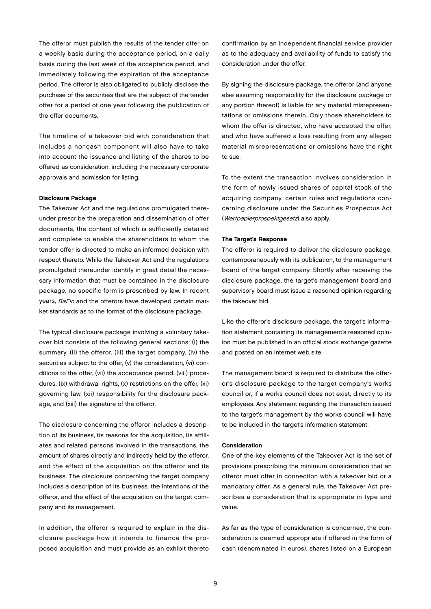The offeror must publish the results of the tender offer on a weekly basis during the acceptance period, on a daily basis during the last week of the acceptance period, and immediately following the expiration of the acceptance period. The offeror is also obligated to publicly disclose the purchase of the securities that are the subject of the tender offer for a period of one year following the publication of the offer documents.

The timeline of a takeover bid with consideration that includes a noncash component will also have to take into account the issuance and listing of the shares to be offered as consideration, including the necessary corporate approvals and admission for listing.

#### Disclosure Package

The Takeover Act and the regulations promulgated thereunder prescribe the preparation and dissemination of offer documents, the content of which is sufficiently detailed and complete to enable the shareholders to whom the tender offer is directed to make an informed decision with respect thereto. While the Takeover Act and the regulations promulgated thereunder identify in great detail the necessary information that must be contained in the disclosure package, no specific form is prescribed by law. In recent years, *BaFin* and the offerors have developed certain market standards as to the format of the disclosure package.

The typical disclosure package involving a voluntary takeover bid consists of the following general sections: (i) the summary, (ii) the offeror, (iii) the target company, (iv) the securities subject to the offer, (v) the consideration, (vi) conditions to the offer, (vii) the acceptance period, (viii) procedures, (ix) withdrawal rights, (x) restrictions on the offer, (xi) governing law, (xii) responsibility for the disclosure package, and (xiii) the signature of the offeror.

The disclosure concerning the offeror includes a description of its business, its reasons for the acquisition, its affiliates and related persons involved in the transactions, the amount of shares directly and indirectly held by the offeror, and the effect of the acquisition on the offeror and its business. The disclosure concerning the target company includes a description of its business, the intentions of the offeror, and the effect of the acquisition on the target company and its management.

In addition, the offeror is required to explain in the disclosure package how it intends to finance the proposed acquisition and must provide as an exhibit thereto confirmation by an independent financial service provider as to the adequacy and availability of funds to satisfy the consideration under the offer.

By signing the disclosure package, the offeror (and anyone else assuming responsibility for the disclosure package or any portion thereof) is liable for any material misrepresentations or omissions therein. Only those shareholders to whom the offer is directed, who have accepted the offer, and who have suffered a loss resulting from any alleged material misrepresentations or omissions have the right to sue.

To the extent the transaction involves consideration in the form of newly issued shares of capital stock of the acquiring company, certain rules and regulations concerning disclosure under the Securities Prospectus Act (Wertpapierprospektgesetz) also apply.

#### The Target's Response

The offeror is required to deliver the disclosure package, contemporaneously with its publication, to the management board of the target company. Shortly after receiving the disclosure package, the target's management board and supervisory board must issue a reasoned opinion regarding the takeover bid.

Like the offeror's disclosure package, the target's information statement containing its management's reasoned opinion must be published in an official stock exchange gazette and posted on an internet web site.

The management board is required to distribute the offeror's disclosure package to the target company's works council or, if a works council does not exist, directly to its employees. Any statement regarding the transaction issued to the target's management by the works council will have to be included in the target's information statement.

# Consideration

One of the key elements of the Takeover Act is the set of provisions prescribing the minimum consideration that an offeror must offer in connection with a takeover bid or a mandatory offer. As a general rule, the Takeover Act prescribes a consideration that is appropriate in type and value.

As far as the type of consideration is concerned, the consideration is deemed appropriate if offered in the form of cash (denominated in euros), shares listed on a European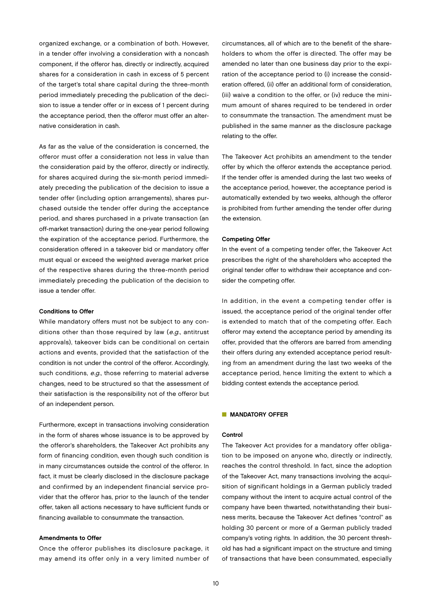organized exchange, or a combination of both. However, in a tender offer involving a consideration with a noncash component, if the offeror has, directly or indirectly, acquired shares for a consideration in cash in excess of 5 percent of the target's total share capital during the three-month period immediately preceding the publication of the decision to issue a tender offer or in excess of 1 percent during the acceptance period, then the offeror must offer an alternative consideration in cash.

As far as the value of the consideration is concerned, the offeror must offer a consideration not less in value than the consideration paid by the offeror, directly or indirectly, for shares acquired during the six-month period immediately preceding the publication of the decision to issue a tender offer (including option arrangements), shares purchased outside the tender offer during the acceptance period, and shares purchased in a private transaction (an off-market transaction) during the one-year period following the expiration of the acceptance period. Furthermore, the consideration offered in a takeover bid or mandatory offer must equal or exceed the weighted average market price of the respective shares during the three-month period immediately preceding the publication of the decision to issue a tender offer.

# Conditions to Offer

While mandatory offers must not be subject to any conditions other than those required by law (e.g., antitrust approvals), takeover bids can be conditional on certain actions and events, provided that the satisfaction of the condition is not under the control of the offeror. Accordingly, such conditions, e.g., those referring to material adverse changes, need to be structured so that the assessment of their satisfaction is the responsibility not of the offeror but of an independent person.

Furthermore, except in transactions involving consideration in the form of shares whose issuance is to be approved by the offeror's shareholders, the Takeover Act prohibits any form of financing condition, even though such condition is in many circumstances outside the control of the offeror. In fact, it must be clearly disclosed in the disclosure package and confirmed by an independent financial service provider that the offeror has, prior to the launch of the tender offer, taken all actions necessary to have sufficient funds or financing available to consummate the transaction.

# Amendments to Offer

Once the offeror publishes its disclosure package, it may amend its offer only in a very limited number of circumstances, all of which are to the benefit of the shareholders to whom the offer is directed. The offer may be amended no later than one business day prior to the expiration of the acceptance period to (i) increase the consideration offered, (ii) offer an additional form of consideration, (iii) waive a condition to the offer, or (iv) reduce the minimum amount of shares required to be tendered in order to consummate the transaction. The amendment must be published in the same manner as the disclosure package relating to the offer.

The Takeover Act prohibits an amendment to the tender offer by which the offeror extends the acceptance period. If the tender offer is amended during the last two weeks of the acceptance period, however, the acceptance period is automatically extended by two weeks, although the offeror is prohibited from further amending the tender offer during the extension.

#### Competing Offer

In the event of a competing tender offer, the Takeover Act prescribes the right of the shareholders who accepted the original tender offer to withdraw their acceptance and consider the competing offer.

In addition, in the event a competing tender offer is issued, the acceptance period of the original tender offer is extended to match that of the competing offer. Each offeror may extend the acceptance period by amending its offer, provided that the offerors are barred from amending their offers during any extended acceptance period resulting from an amendment during the last two weeks of the acceptance period, hence limiting the extent to which a bidding contest extends the acceptance period.

### **NANDATORY OFFER**

# **Control**

The Takeover Act provides for a mandatory offer obligation to be imposed on anyone who, directly or indirectly, reaches the control threshold. In fact, since the adoption of the Takeover Act, many transactions involving the acquisition of significant holdings in a German publicly traded company without the intent to acquire actual control of the company have been thwarted, notwithstanding their business merits, because the Takeover Act defines "control" as holding 30 percent or more of a German publicly traded company's voting rights. In addition, the 30 percent threshold has had a significant impact on the structure and timing of transactions that have been consummated, especially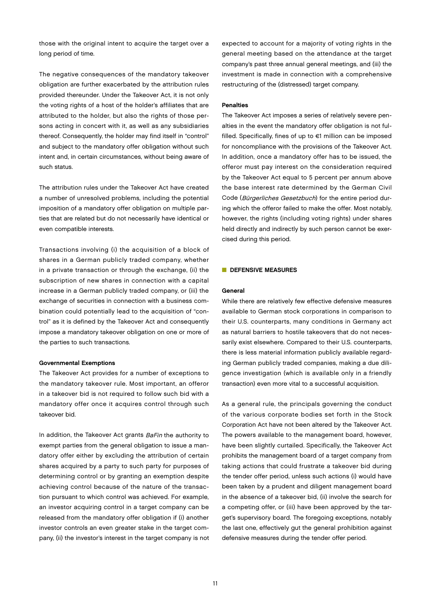those with the original intent to acquire the target over a long period of time.

The negative consequences of the mandatory takeover obligation are further exacerbated by the attribution rules provided thereunder. Under the Takeover Act, it is not only the voting rights of a host of the holder's affiliates that are attributed to the holder, but also the rights of those persons acting in concert with it, as well as any subsidiaries thereof. Consequently, the holder may find itself in "control" and subject to the mandatory offer obligation without such intent and, in certain circumstances, without being aware of such status.

The attribution rules under the Takeover Act have created a number of unresolved problems, including the potential imposition of a mandatory offer obligation on multiple parties that are related but do not necessarily have identical or even compatible interests.

Transactions involving (i) the acquisition of a block of shares in a German publicly traded company, whether in a private transaction or through the exchange, (ii) the subscription of new shares in connection with a capital increase in a German publicly traded company, or (iii) the exchange of securities in connection with a business combination could potentially lead to the acquisition of "control" as it is defined by the Takeover Act and consequently impose a mandatory takeover obligation on one or more of the parties to such transactions.

#### Governmental Exemptions

The Takeover Act provides for a number of exceptions to the mandatory takeover rule. Most important, an offeror in a takeover bid is not required to follow such bid with a mandatory offer once it acquires control through such takeover bid.

In addition, the Takeover Act grants BaFin the authority to exempt parties from the general obligation to issue a mandatory offer either by excluding the attribution of certain shares acquired by a party to such party for purposes of determining control or by granting an exemption despite achieving control because of the nature of the transaction pursuant to which control was achieved. For example, an investor acquiring control in a target company can be released from the mandatory offer obligation if (i) another investor controls an even greater stake in the target company, (ii) the investor's interest in the target company is not expected to account for a majority of voting rights in the general meeting based on the attendance at the target company's past three annual general meetings, and (iii) the investment is made in connection with a comprehensive restructuring of the (distressed) target company.

#### **Penalties**

The Takeover Act imposes a series of relatively severe penalties in the event the mandatory offer obligation is not fulfilled. Specifically, fines of up to €1 million can be imposed for noncompliance with the provisions of the Takeover Act. In addition, once a mandatory offer has to be issued, the offeror must pay interest on the consideration required by the Takeover Act equal to 5 percent per annum above the base interest rate determined by the German Civil Code (Bürgerliches Gesetzbuch) for the entire period during which the offeror failed to make the offer. Most notably, however, the rights (including voting rights) under shares held directly and indirectly by such person cannot be exercised during this period.

#### DEFENSIVE MEASURES

# General

While there are relatively few effective defensive measures available to German stock corporations in comparison to their U.S. counterparts, many conditions in Germany act as natural barriers to hostile takeovers that do not necessarily exist elsewhere. Compared to their U.S. counterparts, there is less material information publicly available regarding German publicly traded companies, making a due diligence investigation (which is available only in a friendly transaction) even more vital to a successful acquisition.

As a general rule, the principals governing the conduct of the various corporate bodies set forth in the Stock Corporation Act have not been altered by the Takeover Act. The powers available to the management board, however, have been slightly curtailed. Specifically, the Takeover Act prohibits the management board of a target company from taking actions that could frustrate a takeover bid during the tender offer period, unless such actions (i) would have been taken by a prudent and diligent management board in the absence of a takeover bid, (ii) involve the search for a competing offer, or (iii) have been approved by the target's supervisory board. The foregoing exceptions, notably the last one, effectively gut the general prohibition against defensive measures during the tender offer period.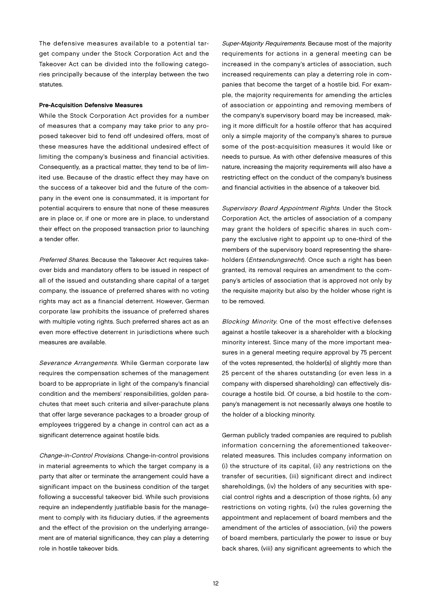The defensive measures available to a potential target company under the Stock Corporation Act and the Takeover Act can be divided into the following categories principally because of the interplay between the two statutes.

#### Pre-Acquisition Defensive Measures

While the Stock Corporation Act provides for a number of measures that a company may take prior to any proposed takeover bid to fend off undesired offers, most of these measures have the additional undesired effect of limiting the company's business and financial activities. Consequently, as a practical matter, they tend to be of limited use. Because of the drastic effect they may have on the success of a takeover bid and the future of the company in the event one is consummated, it is important for potential acquirers to ensure that none of these measures are in place or, if one or more are in place, to understand their effect on the proposed transaction prior to launching a tender offer.

Preferred Shares. Because the Takeover Act requires takeover bids and mandatory offers to be issued in respect of all of the issued and outstanding share capital of a target company, the issuance of preferred shares with no voting rights may act as a financial deterrent. However, German corporate law prohibits the issuance of preferred shares with multiple voting rights. Such preferred shares act as an even more effective deterrent in jurisdictions where such measures are available.

Severance Arrangements. While German corporate law requires the compensation schemes of the management board to be appropriate in light of the company's financial condition and the members' responsibilities, golden parachutes that meet such criteria and silver-parachute plans that offer large severance packages to a broader group of employees triggered by a change in control can act as a significant deterrence against hostile bids.

Change-in-Control Provisions. Change-in-control provisions in material agreements to which the target company is a party that alter or terminate the arrangement could have a significant impact on the business condition of the target following a successful takeover bid. While such provisions require an independently justifiable basis for the management to comply with its fiduciary duties, if the agreements and the effect of the provision on the underlying arrangement are of material significance, they can play a deterring role in hostile takeover bids.

Super-Majority Requirements. Because most of the majority requirements for actions in a general meeting can be increased in the company's articles of association, such increased requirements can play a deterring role in companies that become the target of a hostile bid. For example, the majority requirements for amending the articles of association or appointing and removing members of the company's supervisory board may be increased, making it more difficult for a hostile offeror that has acquired only a simple majority of the company's shares to pursue some of the post-acquisition measures it would like or needs to pursue. As with other defensive measures of this nature, increasing the majority requirements will also have a restricting effect on the conduct of the company's business and financial activities in the absence of a takeover bid.

Supervisory Board Appointment Rights. Under the Stock Corporation Act, the articles of association of a company may grant the holders of specific shares in such company the exclusive right to appoint up to one-third of the members of the supervisory board representing the shareholders (*Entsendungsrecht*). Once such a right has been granted, its removal requires an amendment to the company's articles of association that is approved not only by the requisite majority but also by the holder whose right is to be removed.

Blocking Minority. One of the most effective defenses against a hostile takeover is a shareholder with a blocking minority interest. Since many of the more important measures in a general meeting require approval by 75 percent of the votes represented, the holder(s) of slightly more than 25 percent of the shares outstanding (or even less in a company with dispersed shareholding) can effectively discourage a hostile bid. Of course, a bid hostile to the company's management is not necessarily always one hostile to the holder of a blocking minority.

German publicly traded companies are required to publish information concerning the aforementioned takeoverrelated measures. This includes company information on (i) the structure of its capital, (ii) any restrictions on the transfer of securities, (iii) significant direct and indirect shareholdings, (iv) the holders of any securities with special control rights and a description of those rights, (v) any restrictions on voting rights, (vi) the rules governing the appointment and replacement of board members and the amendment of the articles of association, (vii) the powers of board members, particularly the power to issue or buy back shares, (viii) any significant agreements to which the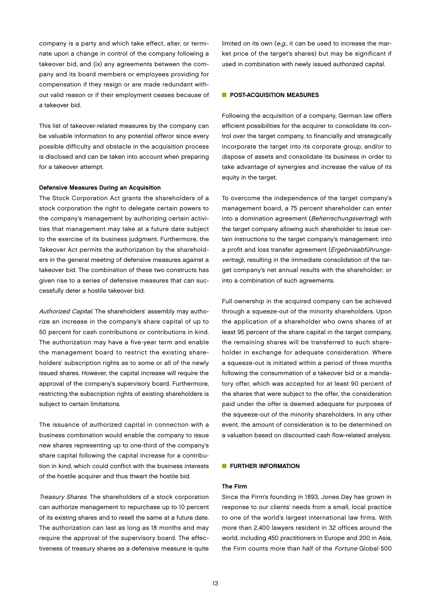company is a party and which take effect, alter, or terminate upon a change in control of the company following a takeover bid, and (ix) any agreements between the company and its board members or employees providing for compensation if they resign or are made redundant without valid reason or if their employment ceases because of a takeover bid.

This list of takeover-related measures by the company can be valuable information to any potential offeror since every possible difficulty and obstacle in the acquisition process is disclosed and can be taken into account when preparing for a takeover attempt.

# Defensive Measures During an Acquisition

The Stock Corporation Act grants the shareholders of a stock corporation the right to delegate certain powers to the company's management by authorizing certain activities that management may take at a future date subject to the exercise of its business judgment. Furthermore, the Takeover Act permits the authorization by the shareholders in the general meeting of defensive measures against a takeover bid. The combination of these two constructs has given rise to a series of defensive measures that can successfully deter a hostile takeover bid.

Authorized Capital. The shareholders' assembly may authorize an increase in the company's share capital of up to 50 percent for cash contributions or contributions in kind. The authorization may have a five-year term and enable the management board to restrict the existing shareholders' subscription rights as to some or all of the newly issued shares. However, the capital increase will require the approval of the company's supervisory board. Furthermore, restricting the subscription rights of existing shareholders is subject to certain limitations.

The issuance of authorized capital in connection with a business combination would enable the company to issue new shares representing up to one-third of the company's share capital following the capital increase for a contribution in kind, which could conflict with the business interests of the hostile acquirer and thus thwart the hostile bid.

Treasury Shares. The shareholders of a stock corporation can authorize management to repurchase up to 10 percent of its existing shares and to resell the same at a future date. The authorization can last as long as 18 months and may require the approval of the supervisory board. The effectiveness of treasury shares as a defensive measure is quite

limited on its own (e.g., it can be used to increase the market price of the target's shares) but may be significant if used in combination with newly issued authorized capital.

# **N** POST-ACQUISITION MEASURES

Following the acquisition of a company, German law offers efficient possibilities for the acquirer to consolidate its control over the target company, to financially and strategically incorporate the target into its corporate group, and/or to dispose of assets and consolidate its business in order to take advantage of synergies and increase the value of its equity in the target.

To overcome the independence of the target company's management board, a 75 percent shareholder can enter into a domination agreement (Beherrschungsvertrag) with the target company allowing such shareholder to issue certain instructions to the target company's management; into a profit and loss transfer agreement (Ergebnisabführungsvertrag), resulting in the immediate consolidation of the target company's net annual results with the shareholder; or into a combination of such agreements.

Full ownership in the acquired company can be achieved through a squeeze-out of the minority shareholders. Upon the application of a shareholder who owns shares of at least 95 percent of the share capital in the target company, the remaining shares will be transferred to such shareholder in exchange for adequate consideration. Where a squeeze-out is initiated within a period of three months following the consummation of a takeover bid or a mandatory offer, which was accepted for at least 90 percent of the shares that were subject to the offer, the consideration paid under the offer is deemed adequate for purposes of the squeeze-out of the minority shareholders. In any other event, the amount of consideration is to be determined on a valuation based on discounted cash flow-related analysis.

# **ELIBTHER INFORMATION**

# The Firm

Since the Firm's founding in 1893, Jones Day has grown in response to our clients' needs from a small, local practice to one of the world's largest international law firms. With more than 2,400 lawyers resident in 32 offices around the world, including 450 practitioners in Europe and 200 in Asia, the Firm counts more than half of the Fortune Global 500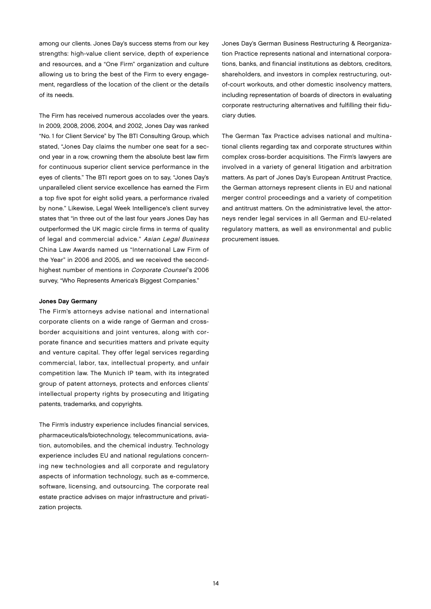among our clients. Jones Day's success stems from our key strengths: high-value client service, depth of experience and resources, and a "One Firm" organization and culture allowing us to bring the best of the Firm to every engagement, regardless of the location of the client or the details of its needs.

The Firm has received numerous accolades over the years. In 2009, 2008, 2006, 2004, and 2002, Jones Day was ranked "No. 1 for Client Service" by The BTI Consulting Group, which stated, "Jones Day claims the number one seat for a second year in a row, crowning them the absolute best law firm for continuous superior client service performance in the eyes of clients." The BTI report goes on to say, "Jones Day's unparalleled client service excellence has earned the Firm a top five spot for eight solid years, a performance rivaled by none." Likewise, Legal Week Intelligence's client survey states that "in three out of the last four years Jones Day has outperformed the UK magic circle firms in terms of quality of legal and commercial advice." Asian Legal Business China Law Awards named us "International Law Firm of the Year" in 2006 and 2005, and we received the secondhighest number of mentions in Corporate Counsel's 2006 survey, "Who Represents America's Biggest Companies."

### Jones Day Germany

The Firm's attorneys advise national and international corporate clients on a wide range of German and crossborder acquisitions and joint ventures, along with corporate finance and securities matters and private equity and venture capital. They offer legal services regarding commercial, labor, tax, intellectual property, and unfair competition law. The Munich IP team, with its integrated group of patent attorneys, protects and enforces clients' intellectual property rights by prosecuting and litigating patents, trademarks, and copyrights.

The Firm's industry experience includes financial services, pharmaceuticals/biotechnology, telecommunications, aviation, automobiles, and the chemical industry. Technology experience includes EU and national regulations concerning new technologies and all corporate and regulatory aspects of information technology, such as e-commerce, software, licensing, and outsourcing. The corporate real estate practice advises on major infrastructure and privatization projects.

Jones Day's German Business Restructuring & Reorganization Practice represents national and international corporations, banks, and financial institutions as debtors, creditors, shareholders, and investors in complex restructuring, outof-court workouts, and other domestic insolvency matters, including representation of boards of directors in evaluating corporate restructuring alternatives and fulfilling their fiduciary duties.

The German Tax Practice advises national and multinational clients regarding tax and corporate structures within complex cross-border acquisitions. The Firm's lawyers are involved in a variety of general litigation and arbitration matters. As part of Jones Day's European Antitrust Practice, the German attorneys represent clients in EU and national merger control proceedings and a variety of competition and antitrust matters. On the administrative level, the attorneys render legal services in all German and EU-related regulatory matters, as well as environmental and public procurement issues.